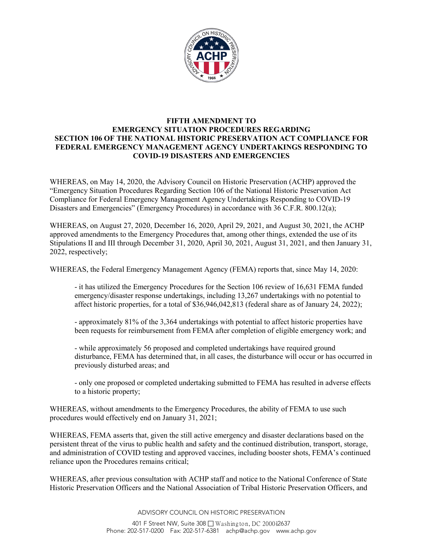

## **FIFTH AMENDMENT TO EMERGENCY SITUATION PROCEDURES REGARDING SECTION 106 OF THE NATIONAL HISTORIC PRESERVATION ACT COMPLIANCE FOR FEDERAL EMERGENCY MANAGEMENT AGENCY UNDERTAKINGS RESPONDING TO COVID-19 DISASTERS AND EMERGENCIES**

WHEREAS, on May 14, 2020, the Advisory Council on Historic Preservation (ACHP) approved the "Emergency Situation Procedures Regarding Section 106 of the National Historic Preservation Act Compliance for Federal Emergency Management Agency Undertakings Responding to COVID-19 Disasters and Emergencies" (Emergency Procedures) in accordance with 36 C.F.R. 800.12(a);

WHEREAS, on August 27, 2020, December 16, 2020, April 29, 2021, and August 30, 2021, the ACHP approved amendments to the Emergency Procedures that, among other things, extended the use of its Stipulations II and III through December 31, 2020, April 30, 2021, August 31, 2021, and then January 31, 2022, respectively;

WHEREAS, the Federal Emergency Management Agency (FEMA) reports that, since May 14, 2020:

- it has utilized the Emergency Procedures for the Section 106 review of 16,631 FEMA funded emergency/disaster response undertakings, including 13,267 undertakings with no potential to affect historic properties, for a total of \$36,946,042,813 (federal share as of January 24, 2022);

- approximately 81% of the 3,364 undertakings with potential to affect historic properties have been requests for reimbursement from FEMA after completion of eligible emergency work; and

- while approximately 56 proposed and completed undertakings have required ground disturbance, FEMA has determined that, in all cases, the disturbance will occur or has occurred in previously disturbed areas; and

- only one proposed or completed undertaking submitted to FEMA has resulted in adverse effects to a historic property;

WHEREAS, without amendments to the Emergency Procedures, the ability of FEMA to use such procedures would effectively end on January 31, 2021;

WHEREAS, FEMA asserts that, given the still active emergency and disaster declarations based on the persistent threat of the virus to public health and safety and the continued distribution, transport, storage, and administration of COVID testing and approved vaccines, including booster shots, FEMA's continued reliance upon the Procedures remains critical;

WHEREAS, after previous consultation with ACHP staff and notice to the National Conference of State Historic Preservation Officers and the National Association of Tribal Historic Preservation Officers, and

ADVISORY COUNCIL ON HISTORIC PRESERVATION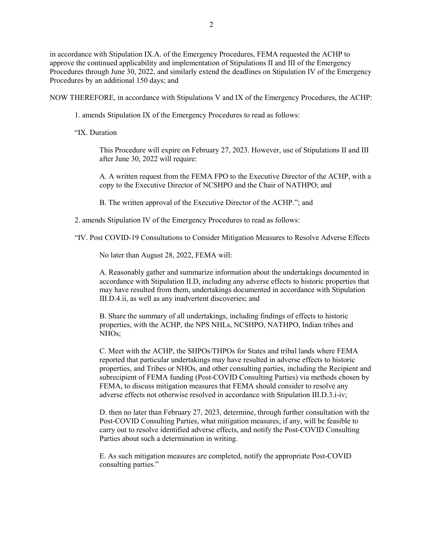in accordance with Stipulation IX.A. of the Emergency Procedures, FEMA requested the ACHP to approve the continued applicability and implementation of Stipulations II and III of the Emergency Procedures through June 30, 2022, and similarly extend the deadlines on Stipulation IV of the Emergency Procedures by an additional 150 days; and

NOW THEREFORE, in accordance with Stipulations V and IX of the Emergency Procedures, the ACHP:

1. amends Stipulation IX of the Emergency Procedures to read as follows:

"IX. Duration

This Procedure will expire on February 27, 2023. However, use of Stipulations II and III after June 30, 2022 will require:

A. A written request from the FEMA FPO to the Executive Director of the ACHP, with a copy to the Executive Director of NCSHPO and the Chair of NATHPO; and

B. The written approval of the Executive Director of the ACHP."; and

2. amends Stipulation IV of the Emergency Procedures to read as follows:

"IV. Post COVID-19 Consultations to Consider Mitigation Measures to Resolve Adverse Effects

No later than August 28, 2022, FEMA will:

A. Reasonably gather and summarize information about the undertakings documented in accordance with Stipulation II.D, including any adverse effects to historic properties that may have resulted from them, undertakings documented in accordance with Stipulation III.D.4.ii, as well as any inadvertent discoveries; and

B. Share the summary of all undertakings, including findings of effects to historic properties, with the ACHP, the NPS NHLs, NCSHPO, NATHPO, Indian tribes and NHOs;

C. Meet with the ACHP, the SHPOs/THPOs for States and tribal lands where FEMA reported that particular undertakings may have resulted in adverse effects to historic properties, and Tribes or NHOs, and other consulting parties, including the Recipient and subrecipient of FEMA funding (Post-COVID Consulting Parties) via methods chosen by FEMA, to discuss mitigation measures that FEMA should consider to resolve any adverse effects not otherwise resolved in accordance with Stipulation III.D.3.i-iv;

D. then no later than February 27, 2023, determine, through further consultation with the Post-COVID Consulting Parties, what mitigation measures, if any, will be feasible to carry out to resolve identified adverse effects, and notify the Post-COVID Consulting Parties about such a determination in writing.

E. As such mitigation measures are completed, notify the appropriate Post-COVID consulting parties."